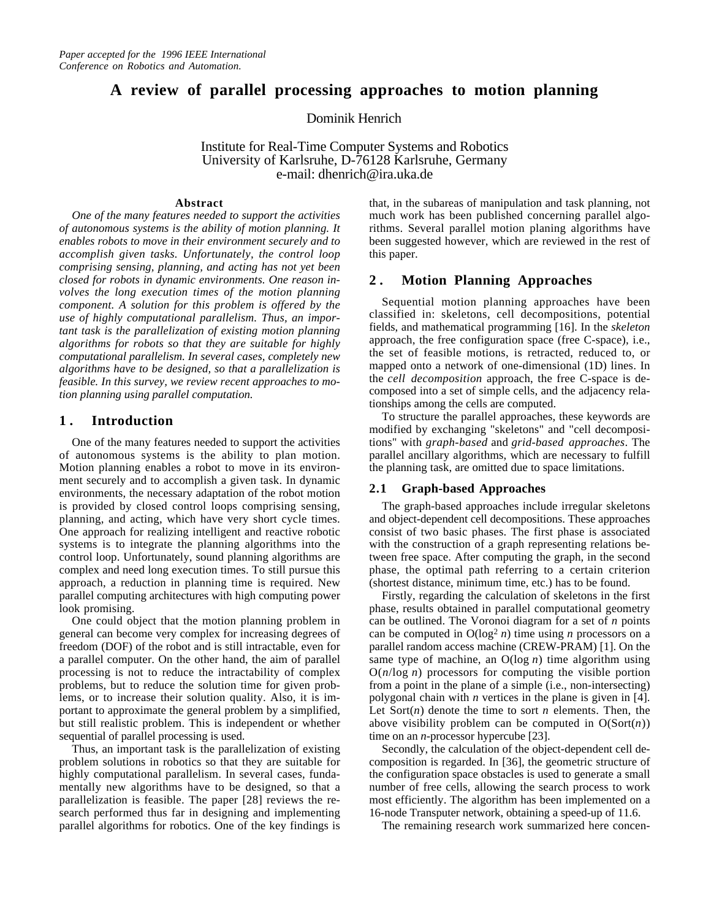# **A review of parallel processing approaches to motion planning**

Dominik Henrich

Institute for Real-Time Computer Systems and Robotics University of Karlsruhe, D-76128 Karlsruhe, Germany e-mail: dhenrich@ira.uka.de

#### **Abstract**

*One of the many features needed to support the activities of autonomous systems is the ability of motion planning. It enables robots to move in their environment securely and to accomplish given tasks. Unfortunately, the control loop comprising sensing, planning, and acting has not yet been closed for robots in dynamic environments. One reason involves the long execution times of the motion planning component. A solution for this problem is offered by the use of highly computational parallelism. Thus, an important task is the parallelization of existing motion planning algorithms for robots so that they are suitable for highly computational parallelism. In several cases, completely new algorithms have to be designed, so that a parallelization is feasible. In this survey, we review recent approaches to motion planning using parallel computation.*

# **1 . Introduction**

One of the many features needed to support the activities of autonomous systems is the ability to plan motion. Motion planning enables a robot to move in its environment securely and to accomplish a given task. In dynamic environments, the necessary adaptation of the robot motion is provided by closed control loops comprising sensing, planning, and acting, which have very short cycle times. One approach for realizing intelligent and reactive robotic systems is to integrate the planning algorithms into the control loop. Unfortunately, sound planning algorithms are complex and need long execution times. To still pursue this approach, a reduction in planning time is required. New parallel computing architectures with high computing power look promising.

One could object that the motion planning problem in general can become very complex for increasing degrees of freedom (DOF) of the robot and is still intractable, even for a parallel computer. On the other hand, the aim of parallel processing is not to reduce the intractability of complex problems, but to reduce the solution time for given problems, or to increase their solution quality. Also, it is important to approximate the general problem by a simplified, but still realistic problem. This is independent or whether sequential of parallel processing is used.

Thus, an important task is the parallelization of existing problem solutions in robotics so that they are suitable for highly computational parallelism. In several cases, fundamentally new algorithms have to be designed, so that a parallelization is feasible. The paper [28] reviews the research performed thus far in designing and implementing parallel algorithms for robotics. One of the key findings is

that, in the subareas of manipulation and task planning, not much work has been published concerning parallel algorithms. Several parallel motion planing algorithms have been suggested however, which are reviewed in the rest of this paper.

# **2 . Motion Planning Approaches**

Sequential motion planning approaches have been classified in: skeletons, cell decompositions, potential fields, and mathematical programming [16]. In the *skeleton* approach, the free configuration space (free C-space), i.e., the set of feasible motions, is retracted, reduced to, or mapped onto a network of one-dimensional (1D) lines. In the *cell decomposition* approach, the free C-space is decomposed into a set of simple cells, and the adjacency relationships among the cells are computed.

To structure the parallel approaches, these keywords are modified by exchanging "skeletons" and "cell decompositions" with *graph-based* and *grid-based approaches*. The parallel ancillary algorithms, which are necessary to fulfill the planning task, are omitted due to space limitations.

### **2.1 Graph-based Approaches**

The graph-based approaches include irregular skeletons and object-dependent cell decompositions. These approaches consist of two basic phases. The first phase is associated with the construction of a graph representing relations between free space. After computing the graph, in the second phase, the optimal path referring to a certain criterion (shortest distance, minimum time, etc.) has to be found.

Firstly, regarding the calculation of skeletons in the first phase, results obtained in parallel computational geometry can be outlined. The Voronoi diagram for a set of *n* points can be computed in  $O(log<sup>2</sup> n)$  time using *n* processors on a parallel random access machine (CREW-PRAM) [1]. On the same type of machine, an O(log *n*) time algorithm using  $O(n/\log n)$  processors for computing the visible portion from a point in the plane of a simple (i.e., non-intersecting) polygonal chain with *n* vertices in the plane is given in [4]. Let  $Sort(n)$  denote the time to sort *n* elements. Then, the above visibility problem can be computed in  $O(Sort(n))$ time on an *n*-processor hypercube [23].

Secondly, the calculation of the object-dependent cell decomposition is regarded. In [36], the geometric structure of the configuration space obstacles is used to generate a small number of free cells, allowing the search process to work most efficiently. The algorithm has been implemented on a 16-node Transputer network, obtaining a speed-up of 11.6.

The remaining research work summarized here concen-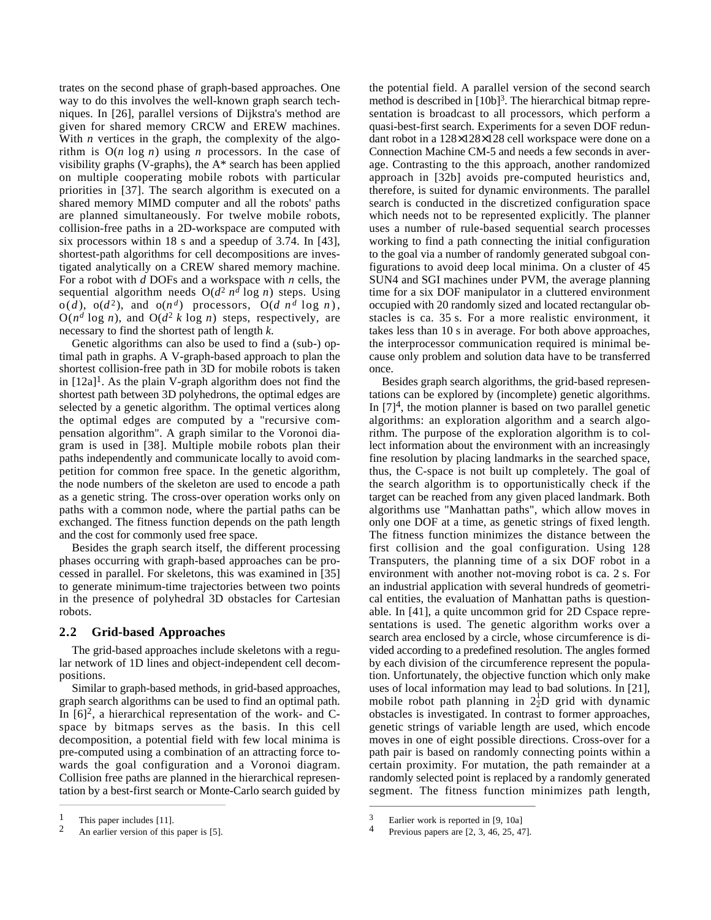trates on the second phase of graph-based approaches. One way to do this involves the well-known graph search techniques. In [26], parallel versions of Dijkstra's method are given for shared memory CRCW and EREW machines. With *n* vertices in the graph, the complexity of the algorithm is O(*n* log *n*) using *n* processors. In the case of visibility graphs (V-graphs), the A\* search has been applied on multiple cooperating mobile robots with particular priorities in [37]. The search algorithm is executed on a shared memory MIMD computer and all the robots' paths are planned simultaneously. For twelve mobile robots, collision-free paths in a 2D-workspace are computed with six processors within 18 s and a speedup of 3.74. In [43], shortest-path algorithms for cell decompositions are investigated analytically on a CREW shared memory machine. For a robot with *d* DOFs and a workspace with *n* cells, the sequential algorithm needs  $O(d^2 n^d \log n)$  steps. Using  $o(d)$ ,  $o(d^2)$ , and  $o(n^d)$  processors,  $O(d n^d \log n)$ ,  $O(n^d \log n)$ , and  $O(d^2 k \log n)$  steps, respectively, are necessary to find the shortest path of length *k*.

Genetic algorithms can also be used to find a (sub-) optimal path in graphs. A V-graph-based approach to plan the shortest collision-free path in 3D for mobile robots is taken in  $[12a]$ <sup>1</sup>. As the plain V-graph algorithm does not find the shortest path between 3D polyhedrons, the optimal edges are selected by a genetic algorithm. The optimal vertices along the optimal edges are computed by a "recursive compensation algorithm". A graph similar to the Voronoi diagram is used in [38]. Multiple mobile robots plan their paths independently and communicate locally to avoid competition for common free space. In the genetic algorithm, the node numbers of the skeleton are used to encode a path as a genetic string. The cross-over operation works only on paths with a common node, where the partial paths can be exchanged. The fitness function depends on the path length and the cost for commonly used free space.

Besides the graph search itself, the different processing phases occurring with graph-based approaches can be processed in parallel. For skeletons, this was examined in [35] to generate minimum-time trajectories between two points in the presence of polyhedral 3D obstacles for Cartesian robots.

### **2.2 Grid-based Approaches**

The grid-based approaches include skeletons with a regular network of 1D lines and object-independent cell decompositions.

Similar to graph-based methods, in grid-based approaches, graph search algorithms can be used to find an optimal path. In  $[6]^2$ , a hierarchical representation of the work- and Cspace by bitmaps serves as the basis. In this cell decomposition, a potential field with few local minima is pre-computed using a combination of an attracting force towards the goal configuration and a Voronoi diagram. Collision free paths are planned in the hierarchical representation by a best-first search or Monte-Carlo search guided by

the potential field. A parallel version of the second search method is described in [10b]<sup>3</sup>. The hierarchical bitmap representation is broadcast to all processors, which perform a quasi-best-first search. Experiments for a seven DOF redundant robot in a 128×128×128 cell workspace were done on a Connection Machine CM-5 and needs a few seconds in average. Contrasting to the this approach, another randomized approach in [32b] avoids pre-computed heuristics and, therefore, is suited for dynamic environments. The parallel search is conducted in the discretized configuration space which needs not to be represented explicitly. The planner uses a number of rule-based sequential search processes working to find a path connecting the initial configuration to the goal via a number of randomly generated subgoal configurations to avoid deep local minima. On a cluster of 45 SUN4 and SGI machines under PVM, the average planning time for a six DOF manipulator in a cluttered environment occupied with 20 randomly sized and located rectangular obstacles is ca. 35 s. For a more realistic environment, it takes less than 10 s in average. For both above approaches, the interprocessor communication required is minimal because only problem and solution data have to be transferred once.

Besides graph search algorithms, the grid-based representations can be explored by (incomplete) genetic algorithms. In  $[7]^4$ , the motion planner is based on two parallel genetic algorithms: an exploration algorithm and a search algorithm. The purpose of the exploration algorithm is to collect information about the environment with an increasingly fine resolution by placing landmarks in the searched space, thus, the C-space is not built up completely. The goal of the search algorithm is to opportunistically check if the target can be reached from any given placed landmark. Both algorithms use "Manhattan paths", which allow moves in only one DOF at a time, as genetic strings of fixed length. The fitness function minimizes the distance between the first collision and the goal configuration. Using 128 Transputers, the planning time of a six DOF robot in a environment with another not-moving robot is ca. 2 s. For an industrial application with several hundreds of geometrical entities, the evaluation of Manhattan paths is questionable. In [41], a quite uncommon grid for 2D Cspace representations is used. The genetic algorithm works over a search area enclosed by a circle, whose circumference is divided according to a predefined resolution. The angles formed by each division of the circumference represent the population. Unfortunately, the objective function which only make uses of local information may lead to bad solutions. In [21], mobile robot path planning in  $2\frac{1}{2}$ D grid with dynamic obstacles is investigated. In contrast to former approaches, genetic strings of variable length are used, which encode moves in one of eight possible directions. Cross-over for a path pair is based on randomly connecting points within a certain proximity. For mutation, the path remainder at a randomly selected point is replaced by a randomly generated segment. The fitness function minimizes path length,

 $\frac{1}{2}$  This paper includes [11].

An earlier version of this paper is [5].

 $rac{3}{4}$  Earlier work is reported in [9, 10a]

Previous papers are [2, 3, 46, 25, 47].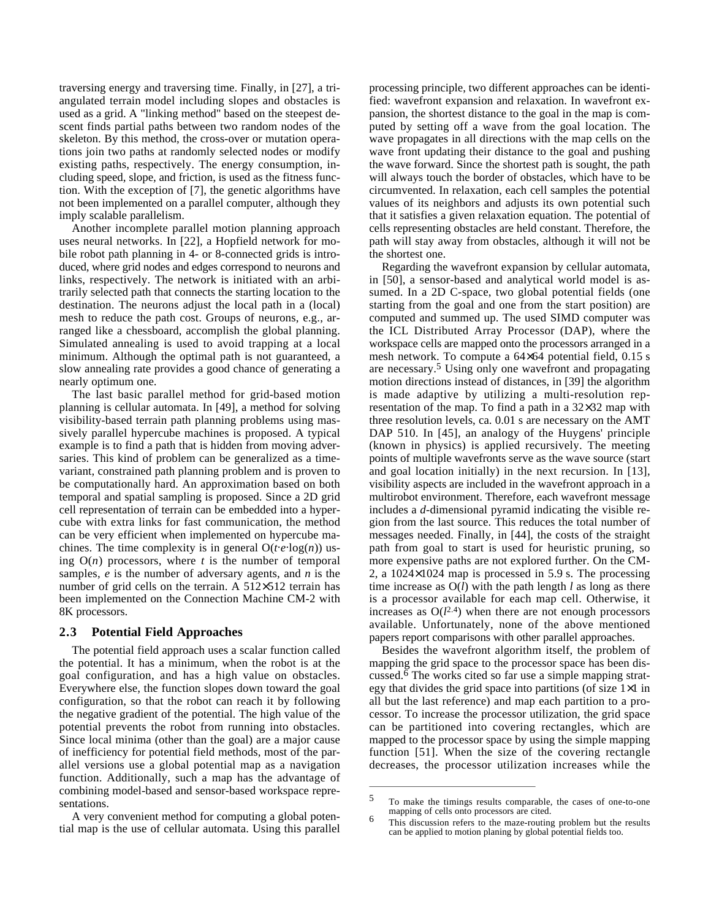traversing energy and traversing time. Finally, in [27], a triangulated terrain model including slopes and obstacles is used as a grid. A "linking method" based on the steepest descent finds partial paths between two random nodes of the skeleton. By this method, the cross-over or mutation operations join two paths at randomly selected nodes or modify existing paths, respectively. The energy consumption, including speed, slope, and friction, is used as the fitness function. With the exception of [7], the genetic algorithms have not been implemented on a parallel computer, although they imply scalable parallelism.

Another incomplete parallel motion planning approach uses neural networks. In [22], a Hopfield network for mobile robot path planning in 4- or 8-connected grids is introduced, where grid nodes and edges correspond to neurons and links, respectively. The network is initiated with an arbitrarily selected path that connects the starting location to the destination. The neurons adjust the local path in a (local) mesh to reduce the path cost. Groups of neurons, e.g., arranged like a chessboard, accomplish the global planning. Simulated annealing is used to avoid trapping at a local minimum. Although the optimal path is not guaranteed, a slow annealing rate provides a good chance of generating a nearly optimum one.

The last basic parallel method for grid-based motion planning is cellular automata. In [49], a method for solving visibility-based terrain path planning problems using massively parallel hypercube machines is proposed. A typical example is to find a path that is hidden from moving adversaries. This kind of problem can be generalized as a timevariant, constrained path planning problem and is proven to be computationally hard. An approximation based on both temporal and spatial sampling is proposed. Since a 2D grid cell representation of terrain can be embedded into a hypercube with extra links for fast communication, the method can be very efficient when implemented on hypercube machines. The time complexity is in general  $O(t e \cdot log(n))$  using  $O(n)$  processors, where *t* is the number of temporal samples, *e* is the number of adversary agents, and *n* is the number of grid cells on the terrain. A 512×512 terrain has been implemented on the Connection Machine CM-2 with 8K processors.

# **2.3 Potential Field Approaches**

The potential field approach uses a scalar function called the potential. It has a minimum, when the robot is at the goal configuration, and has a high value on obstacles. Everywhere else, the function slopes down toward the goal configuration, so that the robot can reach it by following the negative gradient of the potential. The high value of the potential prevents the robot from running into obstacles. Since local minima (other than the goal) are a major cause of inefficiency for potential field methods, most of the parallel versions use a global potential map as a navigation function. Additionally, such a map has the advantage of combining model-based and sensor-based workspace representations.

A very convenient method for computing a global potential map is the use of cellular automata. Using this parallel processing principle, two different approaches can be identified: wavefront expansion and relaxation. In wavefront expansion, the shortest distance to the goal in the map is computed by setting off a wave from the goal location. The wave propagates in all directions with the map cells on the wave front updating their distance to the goal and pushing the wave forward. Since the shortest path is sought, the path will always touch the border of obstacles, which have to be circumvented. In relaxation, each cell samples the potential values of its neighbors and adjusts its own potential such that it satisfies a given relaxation equation. The potential of cells representing obstacles are held constant. Therefore, the path will stay away from obstacles, although it will not be the shortest one.

Regarding the wavefront expansion by cellular automata, in [50], a sensor-based and analytical world model is assumed. In a 2D C-space, two global potential fields (one starting from the goal and one from the start position) are computed and summed up. The used SIMD computer was the ICL Distributed Array Processor (DAP), where the workspace cells are mapped onto the processors arranged in a mesh network. To compute a 64×64 potential field, 0.15 s are necessary.5 Using only one wavefront and propagating motion directions instead of distances, in [39] the algorithm is made adaptive by utilizing a multi-resolution representation of the map. To find a path in a 32×32 map with three resolution levels, ca. 0.01 s are necessary on the AMT DAP 510. In [45], an analogy of the Huygens' principle (known in physics) is applied recursively. The meeting points of multiple wavefronts serve as the wave source (start and goal location initially) in the next recursion. In [13], visibility aspects are included in the wavefront approach in a multirobot environment. Therefore, each wavefront message includes a *d*-dimensional pyramid indicating the visible region from the last source. This reduces the total number of messages needed. Finally, in [44], the costs of the straight path from goal to start is used for heuristic pruning, so more expensive paths are not explored further. On the CM-2, a 1024×1024 map is processed in 5.9 s. The processing time increase as O(*l*) with the path length *l* as long as there is a processor available for each map cell. Otherwise, it increases as  $O(l^{2.4})$  when there are not enough processors available. Unfortunately, none of the above mentioned papers report comparisons with other parallel approaches.

Besides the wavefront algorithm itself, the problem of mapping the grid space to the processor space has been discussed.6 The works cited so far use a simple mapping strategy that divides the grid space into partitions (of size 1×1 in all but the last reference) and map each partition to a processor. To increase the processor utilization, the grid space can be partitioned into covering rectangles, which are mapped to the processor space by using the simple mapping function [51]. When the size of the covering rectangle decreases, the processor utilization increases while the

<sup>5</sup> To make the timings results comparable, the cases of one-to-one mapping of cells onto processors are cited.

<sup>&</sup>lt;sup>6</sup> This discussion refers to the maze-routing problem but the results can be applied to motion planing by global potential fields too.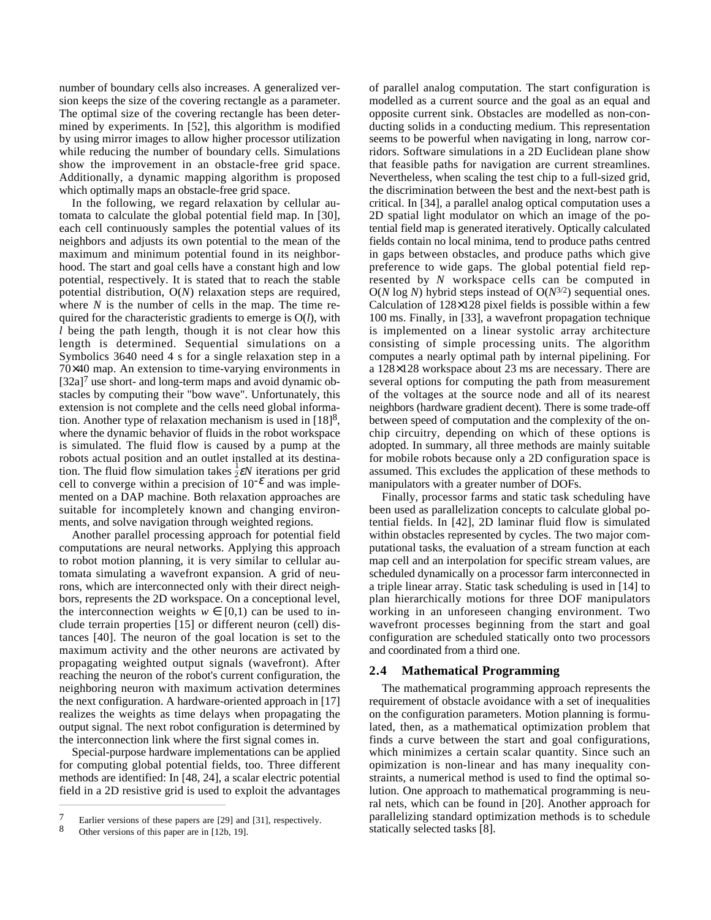number of boundary cells also increases. A generalized version keeps the size of the covering rectangle as a parameter. The optimal size of the covering rectangle has been determined by experiments. In [52], this algorithm is modified by using mirror images to allow higher processor utilization while reducing the number of boundary cells. Simulations show the improvement in an obstacle-free grid space. Additionally, a dynamic mapping algorithm is proposed which optimally maps an obstacle-free grid space.

In the following, we regard relaxation by cellular automata to calculate the global potential field map. In [30], each cell continuously samples the potential values of its neighbors and adjusts its own potential to the mean of the maximum and minimum potential found in its neighborhood. The start and goal cells have a constant high and low potential, respectively. It is stated that to reach the stable potential distribution, O(*N*) relaxation steps are required, where *N* is the number of cells in the map. The time required for the characteristic gradients to emerge is O(*l*), with *l* being the path length, though it is not clear how this length is determined. Sequential simulations on a Symbolics 3640 need 4 s for a single relaxation step in a 70×40 map. An extension to time-varying environments in  $[32a]$ <sup>7</sup> use short- and long-term maps and avoid dynamic obstacles by computing their "bow wave". Unfortunately, this extension is not complete and the cells need global information. Another type of relaxation mechanism is used in  $[18]^{8}$ , where the dynamic behavior of fluids in the robot workspace is simulated. The fluid flow is caused by a pump at the robots actual position and an outlet installed at its destina $t$  is the fluid flow simulation takes  $\frac{1}{2} \epsilon N$  iterations per grid cell to converge within a precision of  $10^{-\mathcal{E}}$  and was implemented on a DAP machine. Both relaxation approaches are suitable for incompletely known and changing environments, and solve navigation through weighted regions.

Another parallel processing approach for potential field computations are neural networks. Applying this approach to robot motion planning, it is very similar to cellular automata simulating a wavefront expansion. A grid of neurons, which are interconnected only with their direct neighbors, represents the 2D workspace. On a conceptional level, the interconnection weights  $w \in [0,1)$  can be used to include terrain properties [15] or different neuron (cell) distances [40]. The neuron of the goal location is set to the maximum activity and the other neurons are activated by propagating weighted output signals (wavefront). After reaching the neuron of the robot's current configuration, the neighboring neuron with maximum activation determines the next configuration. A hardware-oriented approach in [17] realizes the weights as time delays when propagating the output signal. The next robot configuration is determined by the interconnection link where the first signal comes in.

Special-purpose hardware implementations can be applied for computing global potential fields, too. Three different methods are identified: In [48, 24], a scalar electric potential field in a 2D resistive grid is used to exploit the advantages

of parallel analog computation. The start configuration is modelled as a current source and the goal as an equal and opposite current sink. Obstacles are modelled as non-conducting solids in a conducting medium. This representation seems to be powerful when navigating in long, narrow corridors. Software simulations in a 2D Euclidean plane show that feasible paths for navigation are current streamlines. Nevertheless, when scaling the test chip to a full-sized grid, the discrimination between the best and the next-best path is critical. In [34], a parallel analog optical computation uses a 2D spatial light modulator on which an image of the potential field map is generated iteratively. Optically calculated fields contain no local minima, tend to produce paths centred in gaps between obstacles, and produce paths which give preference to wide gaps. The global potential field represented by *N* workspace cells can be computed in  $O(N \log N)$  hybrid steps instead of  $O(N^{3/2})$  sequential ones. Calculation of 128×128 pixel fields is possible within a few 100 ms. Finally, in [33], a wavefront propagation technique is implemented on a linear systolic array architecture consisting of simple processing units. The algorithm computes a nearly optimal path by internal pipelining. For a 128×128 workspace about 23 ms are necessary. There are several options for computing the path from measurement of the voltages at the source node and all of its nearest neighbors (hardware gradient decent). There is some trade-off between speed of computation and the complexity of the onchip circuitry, depending on which of these options is adopted. In summary, all three methods are mainly suitable for mobile robots because only a 2D configuration space is assumed. This excludes the application of these methods to manipulators with a greater number of DOFs.

Finally, processor farms and static task scheduling have been used as parallelization concepts to calculate global potential fields. In [42], 2D laminar fluid flow is simulated within obstacles represented by cycles. The two major computational tasks, the evaluation of a stream function at each map cell and an interpolation for specific stream values, are scheduled dynamically on a processor farm interconnected in a triple linear array. Static task scheduling is used in [14] to plan hierarchically motions for three DOF manipulators working in an unforeseen changing environment. Two wavefront processes beginning from the start and goal configuration are scheduled statically onto two processors and coordinated from a third one.

#### **2.4 Mathematical Programming**

The mathematical programming approach represents the requirement of obstacle avoidance with a set of inequalities on the configuration parameters. Motion planning is formulated, then, as a mathematical optimization problem that finds a curve between the start and goal configurations, which minimizes a certain scalar quantity. Since such an opimization is non-linear and has many inequality constraints, a numerical method is used to find the optimal solution. One approach to mathematical programming is neural nets, which can be found in [20]. Another approach for parallelizing standard optimization methods is to schedule statically selected tasks [8].

<sup>7</sup> Earlier versions of these papers are  $[29]$  and  $[31]$ , respectively.

Other versions of this paper are in [12b, 19].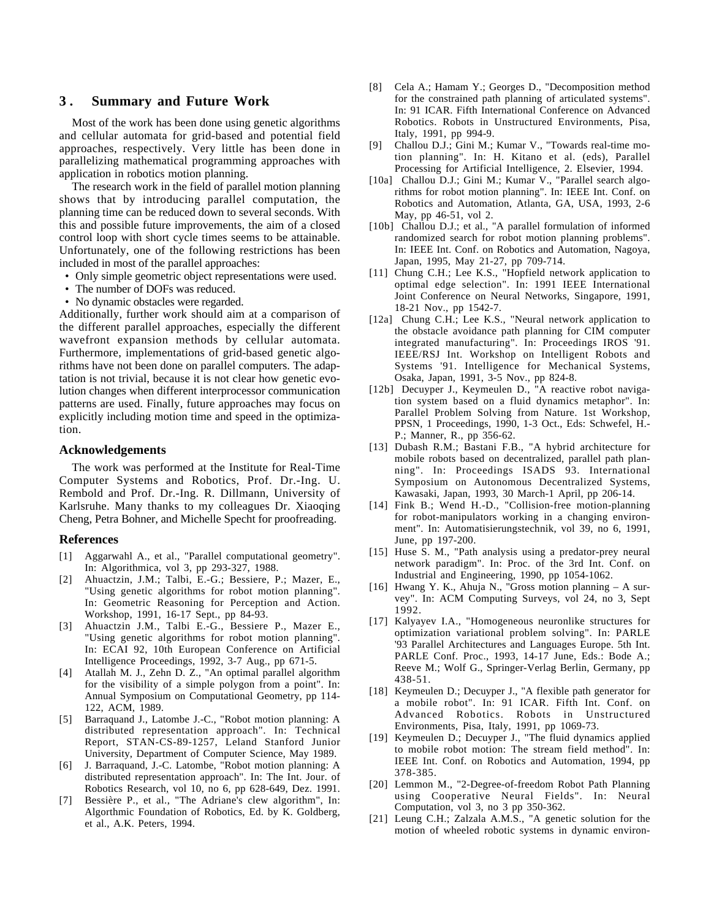### **3 . Summary and Future Work**

Most of the work has been done using genetic algorithms and cellular automata for grid-based and potential field approaches, respectively. Very little has been done in parallelizing mathematical programming approaches with application in robotics motion planning.

The research work in the field of parallel motion planning shows that by introducing parallel computation, the planning time can be reduced down to several seconds. With this and possible future improvements, the aim of a closed control loop with short cycle times seems to be attainable. Unfortunately, one of the following restrictions has been included in most of the parallel approaches:

- Only simple geometric object representations were used.
- The number of DOFs was reduced.
- No dynamic obstacles were regarded.

Additionally, further work should aim at a comparison of the different parallel approaches, especially the different wavefront expansion methods by cellular automata. Furthermore, implementations of grid-based genetic algorithms have not been done on parallel computers. The adaptation is not trivial, because it is not clear how genetic evolution changes when different interprocessor communication patterns are used. Finally, future approaches may focus on explicitly including motion time and speed in the optimization.

#### **Acknowledgements**

The work was performed at the Institute for Real-Time Computer Systems and Robotics, Prof. Dr.-Ing. U. Rembold and Prof. Dr.-Ing. R. Dillmann, University of Karlsruhe. Many thanks to my colleagues Dr. Xiaoqing Cheng, Petra Bohner, and Michelle Specht for proofreading.

#### **References**

- [1] Aggarwahl A., et al., "Parallel computational geometry". In: Algorithmica, vol 3, pp 293-327, 1988.
- [2] Ahuactzin, J.M.; Talbi, E.-G.; Bessiere, P.; Mazer, E., "Using genetic algorithms for robot motion planning". In: Geometric Reasoning for Perception and Action. Workshop, 1991, 16-17 Sept., pp 84-93.
- [3] Ahuactzin J.M., Talbi E.-G., Bessiere P., Mazer E., "Using genetic algorithms for robot motion planning". In: ECAI 92, 10th European Conference on Artificial Intelligence Proceedings, 1992, 3-7 Aug., pp 671-5.
- [4] Atallah M. J., Zehn D. Z., "An optimal parallel algorithm for the visibility of a simple polygon from a point". In: Annual Symposium on Computational Geometry, pp 114- 122, ACM, 1989.
- [5] Barraquand J., Latombe J.-C., "Robot motion planning: A distributed representation approach". In: Technical Report, STAN-CS-89-1257, Leland Stanford Junior University, Department of Computer Science, May 1989.
- [6] J. Barraquand, J.-C. Latombe, "Robot motion planning: A distributed representation approach". In: The Int. Jour. of Robotics Research, vol 10, no 6, pp 628-649, Dez. 1991.
- [7] Bessière P., et al., "The Adriane's clew algorithm", In: Algorthmic Foundation of Robotics, Ed. by K. Goldberg, et al., A.K. Peters, 1994.
- [8] Cela A.; Hamam Y.; Georges D., "Decomposition method for the constrained path planning of articulated systems". In: 91 ICAR. Fifth International Conference on Advanced Robotics. Robots in Unstructured Environments, Pisa, Italy, 1991, pp 994-9.
- [9] Challou D.J.; Gini M.; Kumar V., "Towards real-time motion planning". In: H. Kitano et al. (eds), Parallel Processing for Artificial Intelligence, 2. Elsevier, 1994.
- [10a] Challou D.J.; Gini M.; Kumar V., "Parallel search algorithms for robot motion planning". In: IEEE Int. Conf. on Robotics and Automation, Atlanta, GA, USA, 1993, 2-6 May, pp 46-51, vol 2.
- [10b] Challou D.J.; et al., "A parallel formulation of informed randomized search for robot motion planning problems". In: IEEE Int. Conf. on Robotics and Automation, Nagoya, Japan, 1995, May 21-27, pp 709-714.
- [11] Chung C.H.; Lee K.S., "Hopfield network application to optimal edge selection". In: 1991 IEEE International Joint Conference on Neural Networks, Singapore, 1991, 18-21 Nov., pp 1542-7.
- [12a] Chung C.H.; Lee K.S., "Neural network application to the obstacle avoidance path planning for CIM computer integrated manufacturing". In: Proceedings IROS '91. IEEE/RSJ Int. Workshop on Intelligent Robots and Systems '91. Intelligence for Mechanical Systems, Osaka, Japan, 1991, 3-5 Nov., pp 824-8.
- [12b] Decuyper J., Keymeulen D., "A reactive robot navigation system based on a fluid dynamics metaphor". In: Parallel Problem Solving from Nature. 1st Workshop, PPSN, 1 Proceedings, 1990, 1-3 Oct., Eds: Schwefel, H.- P.; Manner, R., pp 356-62.
- [13] Dubash R.M.; Bastani F.B., "A hybrid architecture for mobile robots based on decentralized, parallel path planning". In: Proceedings ISADS 93. International Symposium on Autonomous Decentralized Systems, Kawasaki, Japan, 1993, 30 March-1 April, pp 206-14.
- [14] Fink B.; Wend H.-D., "Collision-free motion-planning for robot-manipulators working in a changing environment". In: Automatisierungstechnik, vol 39, no 6, 1991, June, pp 197-200.
- [15] Huse S. M., "Path analysis using a predator-prey neural network paradigm". In: Proc. of the 3rd Int. Conf. on Industrial and Engineering, 1990, pp 1054-1062.
- [16] Hwang Y. K., Ahuja N., "Gross motion planning A survey". In: ACM Computing Surveys, vol 24, no 3, Sept 1992.
- [17] Kalyayev I.A., "Homogeneous neuronlike structures for optimization variational problem solving". In: PARLE '93 Parallel Architectures and Languages Europe. 5th Int. PARLE Conf. Proc., 1993, 14-17 June, Eds.: Bode A.; Reeve M.; Wolf G., Springer-Verlag Berlin, Germany, pp 438-51.
- [18] Keymeulen D.; Decuyper J., "A flexible path generator for a mobile robot". In: 91 ICAR. Fifth Int. Conf. on Advanced Robotics. Robots in Unstructured Environments, Pisa, Italy, 1991, pp 1069-73.
- [19] Keymeulen D.; Decuyper J., "The fluid dynamics applied to mobile robot motion: The stream field method". In: IEEE Int. Conf. on Robotics and Automation, 1994, pp 378-385.
- [20] Lemmon M., "2-Degree-of-freedom Robot Path Planning using Cooperative Neural Fields". In: Neural Computation, vol 3, no 3 pp 350-362.
- [21] Leung C.H.; Zalzala A.M.S., "A genetic solution for the motion of wheeled robotic systems in dynamic environ-